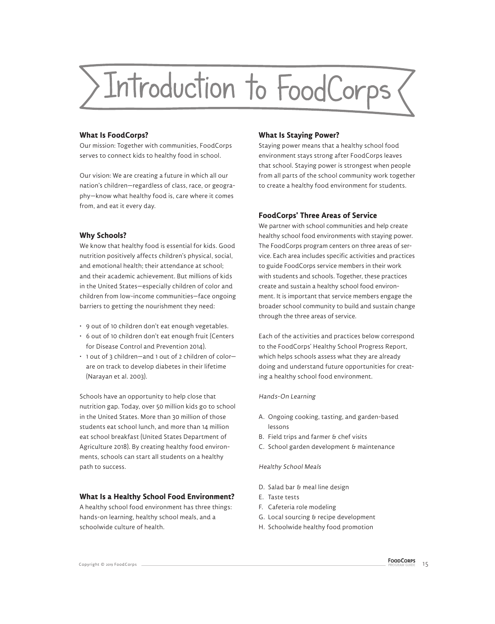

## **What Is FoodCorps?**

Our mission: Together with communities, FoodCorps serves to connect kids to healthy food in school.

Our vision: We are creating a future in which all our nation's children—regardless of class, race, or geography—know what healthy food is, care where it comes from, and eat it every day.

## **Why Schools?**

We know that healthy food is essential for kids. Good nutrition positively affects children's physical, social, and emotional health; their attendance at school; and their academic achievement. But millions of kids in the United States—especially children of color and children from low-income communities—face ongoing barriers to getting the nourishment they need:

- 9 out of 10 children don't eat enough vegetables.
- 6 out of 10 children don't eat enough fruit (Centers for Disease Control and Prevention 2014).
- 1 out of 3 children—and 1 out of 2 children of color are on track to develop diabetes in their lifetime (Narayan et al. 2003).

Schools have an opportunity to help close that nutrition gap. Today, over 50 million kids go to school in the United States. More than 30 million of those students eat school lunch, and more than 14 million eat school breakfast (United States Department of Agriculture 2018). By creating healthy food environments, schools can start all students on a healthy path to success.

# **What Is a Healthy School Food Environment?**

A healthy school food environment has three things: hands-on learning, healthy school meals, and a schoolwide culture of health.

## **What Is Staying Power?**

Staying power means that a healthy school food environment stays strong after FoodCorps leaves that school. Staying power is strongest when people from all parts of the school community work together to create a healthy food environment for students.

# **FoodCorps' Three Areas of Service**

We partner with school communities and help create healthy school food environments with staying power. The FoodCorps program centers on three areas of service. Each area includes specific activities and practices to guide FoodCorps service members in their work with students and schools. Together, these practices create and sustain a healthy school food environment. It is important that service members engage the broader school community to build and sustain change through the three areas of service.

Each of the activities and practices below correspond to the FoodCorps' Healthy School Progress Report, which helps schools assess what they are already doing and understand future opportunities for creating a healthy school food environment.

### Hands-On Learning

- A. Ongoing cooking, tasting, and garden-based lessons
- B. Field trips and farmer & chef visits
- C. School garden development & maintenance

#### Healthy School Meals

- D. Salad bar & meal line design
- E. Taste tests
- F. Cafeteria role modeling
- G. Local sourcing & recipe development
- H. Schoolwide healthy food promotion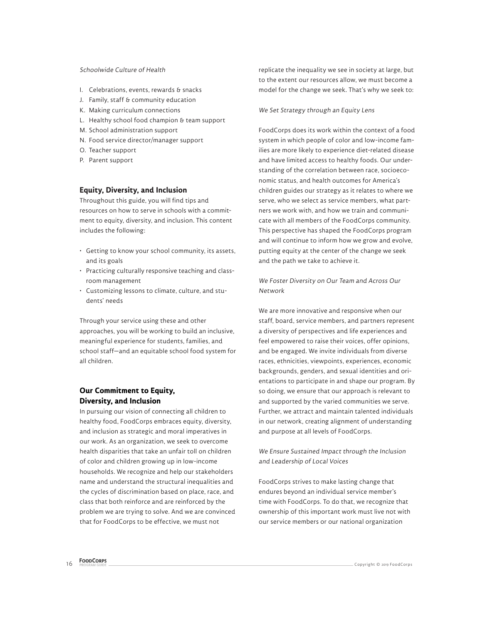### Schoolwide Culture of Health

- I. Celebrations, events, rewards & snacks
- J. Family, staff & community education
- K. Making curriculum connections
- L. Healthy school food champion & team support
- M. School administration support
- N. Food service director/manager support
- O. Teacher support
- P. Parent support

# **Equity, Diversity, and Inclusion**

Throughout this guide, you will find tips and resources on how to serve in schools with a commitment to equity, diversity, and inclusion. This content includes the following:

- Getting to know your school community, its assets, and its goals
- Practicing culturally responsive teaching and classroom management
- Customizing lessons to climate, culture, and students' needs

Through your service using these and other approaches, you will be working to build an inclusive, meaningful experience for students, families, and school staff—and an equitable school food system for all children.

# **Our Commitment to Equity, Diversity, and Inclusion**

In pursuing our vision of connecting all children to healthy food, FoodCorps embraces equity, diversity, and inclusion as strategic and moral imperatives in our work. As an organization, we seek to overcome health disparities that take an unfair toll on children of color and children growing up in low-income households. We recognize and help our stakeholders name and understand the structural inequalities and the cycles of discrimination based on place, race, and class that both reinforce and are reinforced by the problem we are trying to solve. And we are convinced that for FoodCorps to be effective, we must not

replicate the inequality we see in society at large, but to the extent our resources allow, we must become a model for the change we seek. That's why we seek to:

#### We Set Strategy through an Equity Lens

FoodCorps does its work within the context of a food system in which people of color and low-income families are more likely to experience diet-related disease and have limited access to healthy foods. Our understanding of the correlation between race, socioeconomic status, and health outcomes for America's children guides our strategy as it relates to where we serve, who we select as service members, what partners we work with, and how we train and communicate with all members of the FoodCorps community. This perspective has shaped the FoodCorps program and will continue to inform how we grow and evolve, putting equity at the center of the change we seek and the path we take to achieve it.

# We Foster Diversity on Our Team and Across Our Network

We are more innovative and responsive when our staff, board, service members, and partners represent a diversity of perspectives and life experiences and feel empowered to raise their voices, offer opinions, and be engaged. We invite individuals from diverse races, ethnicities, viewpoints, experiences, economic backgrounds, genders, and sexual identities and orientations to participate in and shape our program. By so doing, we ensure that our approach is relevant to and supported by the varied communities we serve. Further, we attract and maintain talented individuals in our network, creating alignment of understanding and purpose at all levels of FoodCorps.

## We Ensure Sustained Impact through the Inclusion and Leadership of Local Voices

FoodCorps strives to make lasting change that endures beyond an individual service member's time with FoodCorps. To do that, we recognize that ownership of this important work must live not with our service members or our national organization